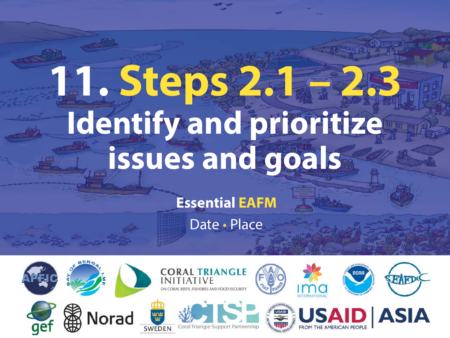# **11. Steps 2.1 – 2.3 Identify and prioritize issues and goals**

**Essential EAFM**

Date • Place

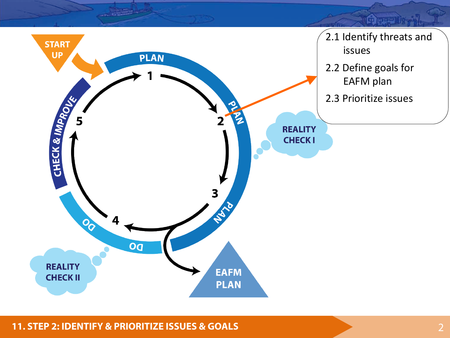

#### **11. STEP 2: IDENTIFY & PRIORITIZE ISSUES & GOALS** 2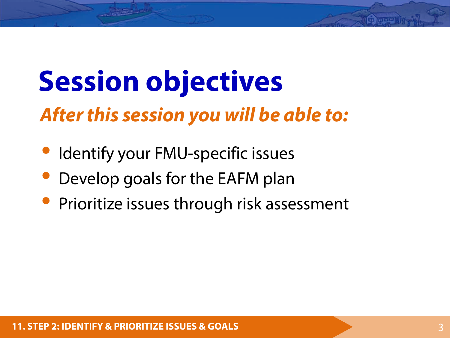## **Session objectives**

#### *After this session you will be able to:*

- Identify your FMU-specific issues
- Develop goals for the EAFM plan
- Prioritize issues through risk assessment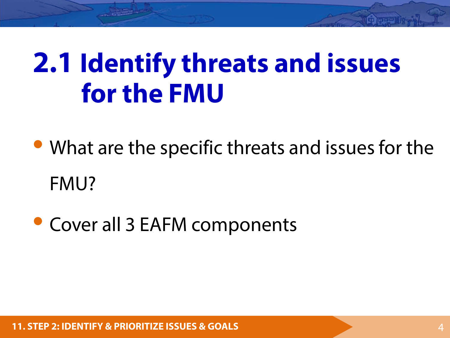## **2.1 Identify threats and issues for the FMU**

• What are the specific threats and issues for the FMU?

• Cover all 3 EAFM components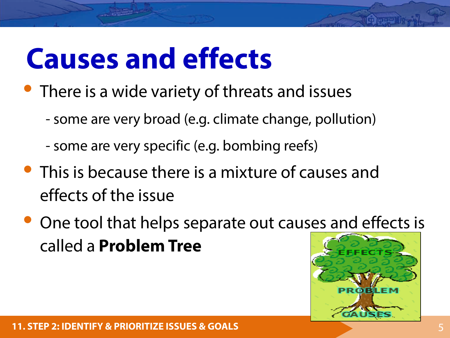## **Causes and effects**

- There is a wide variety of threats and issues
	- some are very broad (e.g. climate change, pollution)
	- some are very specific (e.g. bombing reefs)
- This is because there is a mixture of causes and effects of the issue
- One tool that helps separate out causes and effects is called a **Problem Tree**

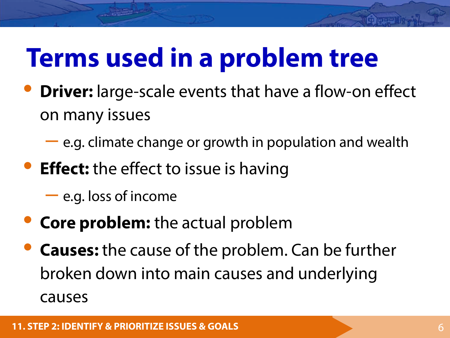## **Terms used in a problem tree**

- **Driver:** large-scale events that have a flow-on effect on many issues
	- e.g. climate change or growth in population and wealth
- **Effect:** the effect to issue is having
	- e.g. loss of income
- **Core problem:** the actual problem
- **Causes:** the cause of the problem. Can be further broken down into main causes and underlying causes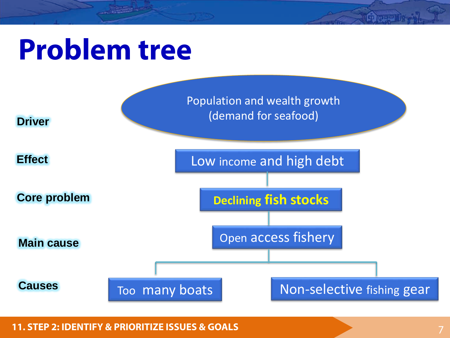## **Problem tree**



**Community**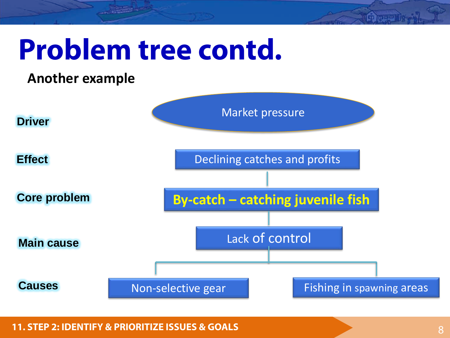

**Growin**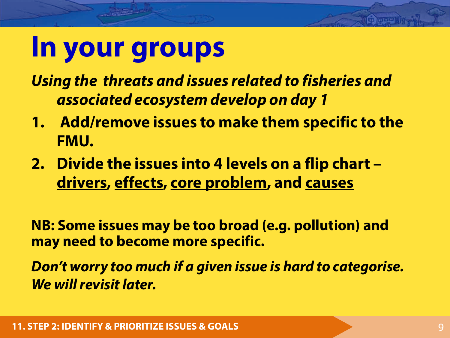### **In your groups**

*Using the threats and issues related to fisheries and associated ecosystem develop on day 1*

- **1. Add/remove issues to make them specific to the FMU.**
- **2. Divide the issues into 4 levels on a flip chart – drivers, effects, core problem, and causes**

**NB: Some issues may be too broad (e.g. pollution) and may need to become more specific.**

*Don't worry too much if a given issue is hard to categorise. We will revisit later.*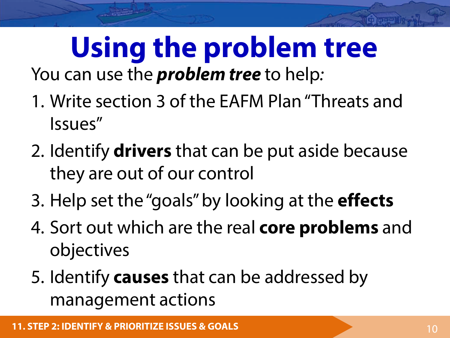#### **Using the problem tree** You can use the *problem tree* to help*:*

- 1. Write section 3 of the EAFM Plan "Threats and Issues"
- 2. Identify **drivers** that can be put aside because they are out of our control
- 3. Help set the "goals" by looking at the **effects**
- 4. Sort out which are the real **core problems** and objectives
- 5. Identify **causes** that can be addressed by management actions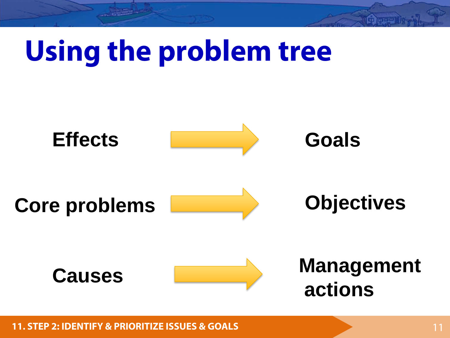# **Using the problem tree**



**11. STEP 2: IDENTIFY & PRIORITIZE ISSUES & GOALS** 11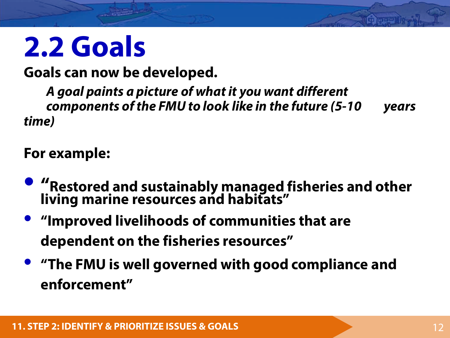## **2.2 Goals**

**Goals can now be developed.** 

*A goal paints a picture of what it you want different components of the FMU to look like in the future (5-10 years time)*

#### **For example:**

- **"Restored and sustainably managed fisheries and other living marine resources and habitats"**
- **"Improved livelihoods of communities that are dependent on the fisheries resources"**
- **"The FMU is well governed with good compliance and enforcement"**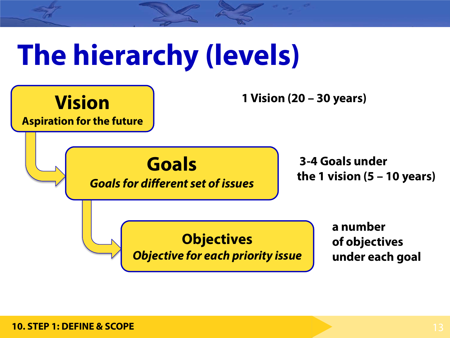# **The hierarchy (levels)**

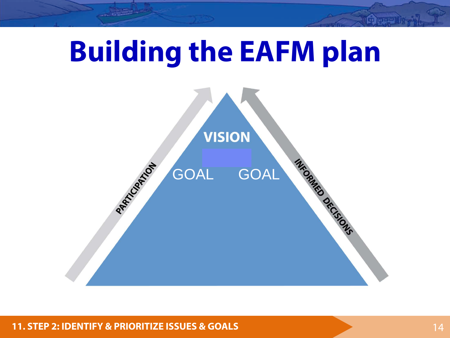

**11. STEP 2: IDENTIFY & PRIORITIZE ISSUES & GOALS 14 And 20 And 20 And 20 And 20 And 20 And 20 And 20 And 20 And 20 And 20 And 20 And 20 And 20 And 20 And 20 And 20 And 20 And 20 And 20 And 20 And 20 And 20 And 20 And 20**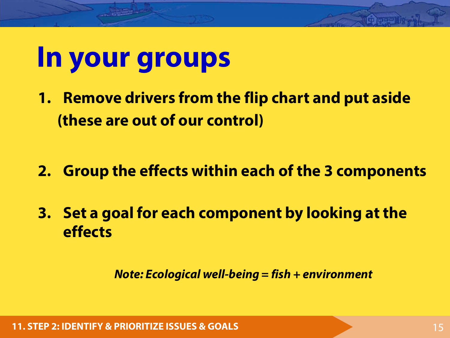## **In your groups**

- **1. Remove drivers from the flip chart and put aside (these are out of our control)**
- **2. Group the effects within each of the 3 components**
- **3. Set a goal for each component by looking at the effects**

*Note: Ecological well-being = fish + environment*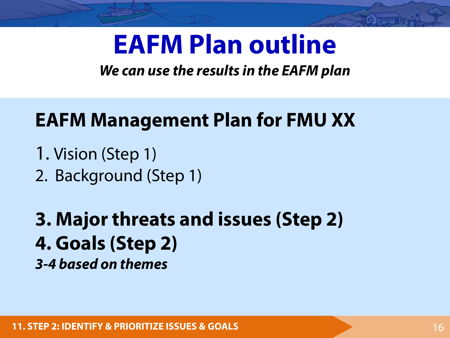### **EAFM Plan outline**

#### *We can use the results in the EAFM plan*

#### **EAFM Management Plan for FMU XX**

- 1. Vision (Step 1)
- 2. Background (Step 1)
- **3. Major threats and issues (Step 2) 4. Goals (Step 2)** *3-4 based on themes*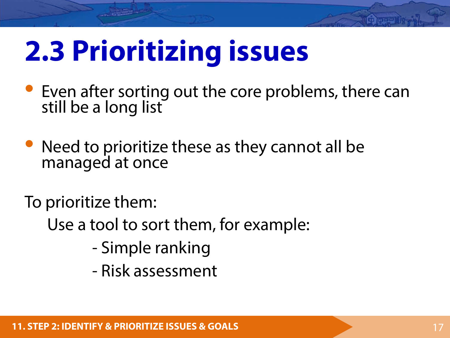## **2.3 Prioritizing issues**

- Even after sorting out the core problems, there can still be a long list
- Need to prioritize these as they cannot all be managed at once

To prioritize them:

- Use a tool to sort them, for example:
	- Simple ranking
	- Risk assessment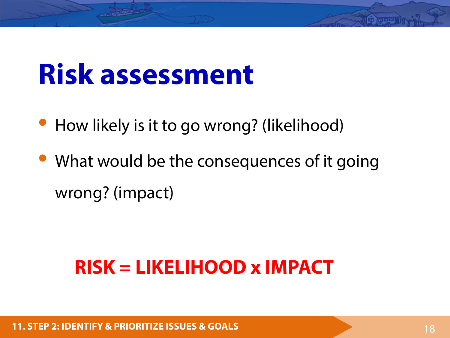## **Risk assessment**

- How likely is it to go wrong? (likelihood)
- What would be the consequences of it going wrong? (impact)

#### **RISK = LIKELIHOOD x IMPACT**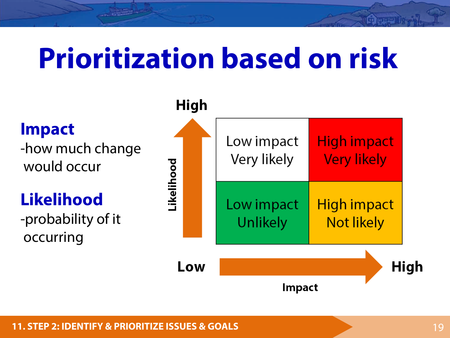## **Prioritization based on risk**



**Impact** 

**Children**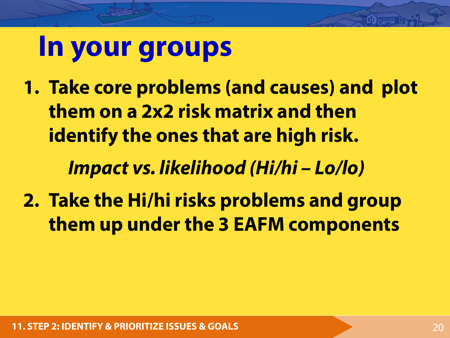### **In your groups**

**1. Take core problems (and causes) and plot them on a 2x2 risk matrix and then identify the ones that are high risk.** 

*Impact vs. likelihood (Hi/hi – Lo/lo)* 

**2. Take the Hi/hi risks problems and group them up under the 3 EAFM components**